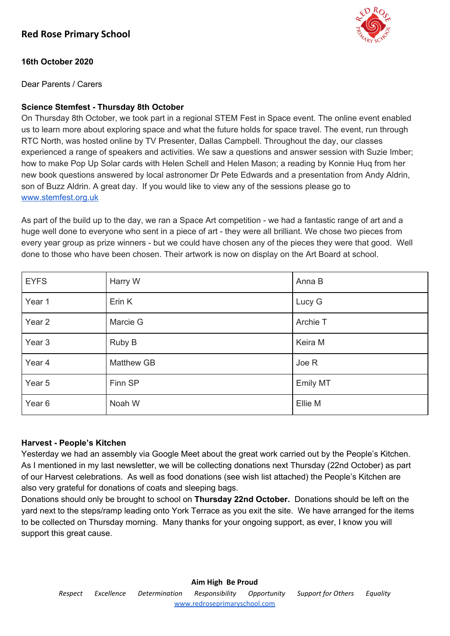

# **16th October 2020**

Dear Parents / Carers

# **Science Stemfest - Thursday 8th October**

On Thursday 8th October, we took part in a regional STEM Fest in Space event. The online event enabled us to learn more about exploring space and what the future holds for space travel. The event, run through RTC North, was hosted online by TV Presenter, Dallas Campbell. Throughout the day, our classes experienced a range of speakers and activities. We saw a questions and answer session with Suzie Imber; how to make Pop Up Solar cards with Helen Schell and Helen Mason; a reading by Konnie Huq from her new book questions answered by local astronomer Dr Pete Edwards and a presentation from Andy Aldrin, son of Buzz Aldrin. A great day. If you would like to view any of the sessions please go to [www.stemfest.org.uk](http://www.stemfest.org.uk/)

As part of the build up to the day, we ran a Space Art competition - we had a fantastic range of art and a huge well done to everyone who sent in a piece of art - they were all brilliant. We chose two pieces from every year group as prize winners - but we could have chosen any of the pieces they were that good. Well done to those who have been chosen. Their artwork is now on display on the Art Board at school.

| <b>EYFS</b>       | Harry W    | Anna B   |
|-------------------|------------|----------|
| Year 1            | Erin K     | Lucy G   |
| Year 2            | Marcie G   | Archie T |
| Year <sub>3</sub> | Ruby B     | Keira M  |
| Year 4            | Matthew GB | Joe R    |
| Year 5            | Finn SP    | Emily MT |
| Year <sub>6</sub> | Noah W     | Ellie M  |

# **Harvest - People's Kitchen**

Yesterday we had an assembly via Google Meet about the great work carried out by the People's Kitchen. As I mentioned in my last newsletter, we will be collecting donations next Thursday (22nd October) as part of our Harvest celebrations. As well as food donations (see wish list attached) the People's Kitchen are also very grateful for donations of coats and sleeping bags.

Donations should only be brought to school on **Thursday 22nd October.** Donations should be left on the yard next to the steps/ramp leading onto York Terrace as you exit the site. We have arranged for the items to be collected on Thursday morning. Many thanks for your ongoing support, as ever, I know you will support this great cause.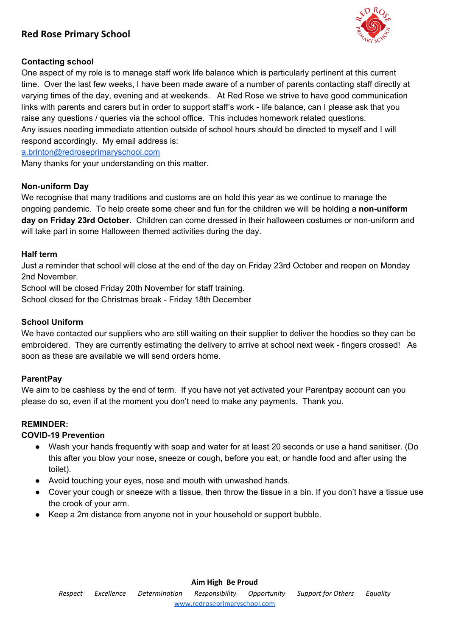# **Red Rose Primary School**



# **Contacting school**

One aspect of my role is to manage staff work life balance which is particularly pertinent at this current time. Over the last few weeks, I have been made aware of a number of parents contacting staff directly at varying times of the day, evening and at weekends. At Red Rose we strive to have good communication links with parents and carers but in order to support staff's work - life balance, can I please ask that you raise any questions / queries via the school office. This includes homework related questions. Any issues needing immediate attention outside of school hours should be directed to myself and I will respond accordingly. My email address is:

[a.brinton@redroseprimaryschool.com](mailto:a.brinton@redroseprimaryschool.com)

Many thanks for your understanding on this matter.

# **Non-uniform Day**

We recognise that many traditions and customs are on hold this year as we continue to manage the ongoing pandemic. To help create some cheer and fun for the children we will be holding a **non-uniform day on Friday 23rd October.** Children can come dressed in their halloween costumes or non-uniform and will take part in some Halloween themed activities during the day.

#### **Half term**

Just a reminder that school will close at the end of the day on Friday 23rd October and reopen on Monday 2nd November.

School will be closed Friday 20th November for staff training.

School closed for the Christmas break - Friday 18th December

#### **School Uniform**

We have contacted our suppliers who are still waiting on their supplier to deliver the hoodies so they can be embroidered. They are currently estimating the delivery to arrive at school next week - fingers crossed! As soon as these are available we will send orders home.

# **ParentPay**

We aim to be cashless by the end of term. If you have not yet activated your Parentpay account can you please do so, even if at the moment you don't need to make any payments. Thank you.

# **REMINDER:**

# **COVID-19 Prevention**

- Wash your hands frequently with soap and water for at least 20 seconds or use a hand sanitiser. (Do this after you blow your nose, sneeze or cough, before you eat, or handle food and after using the toilet).
- Avoid touching your eyes, nose and mouth with unwashed hands.
- Cover your cough or sneeze with a tissue, then throw the tissue in a bin. If you don't have a tissue use the crook of your arm.
- **●** Keep a 2m distance from anyone not in your household or support bubble.